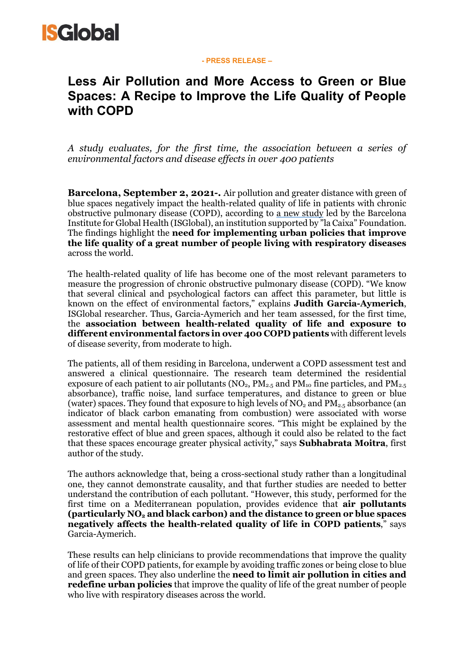

#### **- PRESS RELEASE –**

# **Less Air Pollution and More Access to Green or Blue Spaces: A Recipe to Improve the Life Quality of People with COPD**

*A study evaluates, for the first time, the association between a series of environmental factors and disease effects in over 400 patients*

**Barcelona, September 2, 2021-***.* Air pollution and greater distance with green of blue spaces negatively impact the health-related quality of life in patients with chronic obstructive pulmonary disease (COPD), according to [a new study](https://doi.org/10.1016/j.envres.2021.111828) led by the Barcelona Institute for Global Health (ISGlobal), an institution supported by "la Caixa" Foundation. The findings highlight the **need for implementing urban policies that improve the life quality of a great number of people living with respiratory diseases**  across the world.

The health-related quality of life has become one of the most relevant parameters to measure the progression of chronic obstructive pulmonary disease (COPD). "We know that several clinical and psychological factors can affect this parameter, but little is known on the effect of environmental factors," explains **Judith Garcia-Aymerich**, ISGlobal researcher. Thus, Garcia-Aymerich and her team assessed, for the first time, the **association between health-related quality of life and exposure to different environmental factors in over 400 COPD patients** with different levels of disease severity, from moderate to high.

The patients, all of them residing in Barcelona, underwent a COPD assessment test and answered a clinical questionnaire. The research team determined the residential exposure of each patient to air pollutants ( $NO_2$ ,  $PM_{2.5}$  and  $PM_{10}$  fine particles, and  $PM_{2.5}$ absorbance), traffic noise, land surface temperatures, and distance to green or blue (water) spaces. They found that exposure to high levels of  $NO<sub>2</sub>$  and  $PM<sub>2.5</sub>$  absorbance (an indicator of black carbon emanating from combustion) were associated with worse assessment and mental health questionnaire scores. "This might be explained by the restorative effect of blue and green spaces, although it could also be related to the fact that these spaces encourage greater physical activity," says **Subhabrata Moitra**, first author of the study.

The authors acknowledge that, being a cross-sectional study rather than a longitudinal one, they cannot demonstrate causality, and that further studies are needed to better understand the contribution of each pollutant. "However, this study, performed for the first time on a Mediterranean population, provides evidence that **air pollutants (particularly NO2 and black carbon) and the distance to green or blue spaces negatively affects the health-related quality of life in COPD patients**," says Garcia-Aymerich.

These results can help clinicians to provide recommendations that improve the quality of life of their COPD patients, for example by avoiding traffic zones or being close to blue and green spaces. They also underline the **need to limit air pollution in cities and redefine urban policies** that improve the quality of life of the great number of people who live with respiratory diseases across the world.